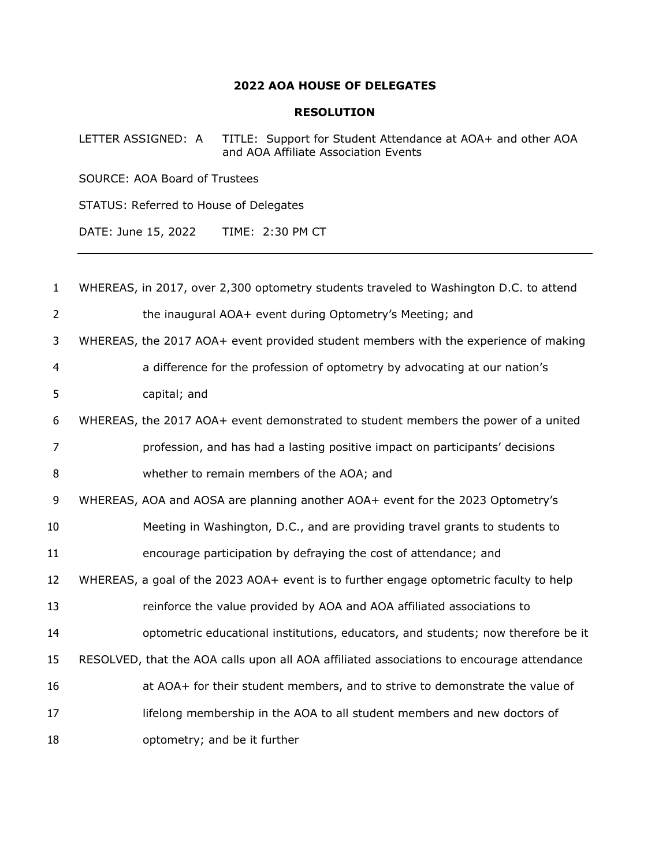## **AOA HOUSE OF DELEGATES**

## **RESOLUTION**

LETTER ASSIGNED: A TITLE: Support for Student Attendance at AOA+ and other AOA and AOA Affiliate Association Events

SOURCE: AOA Board of Trustees

STATUS: Referred to House of Delegates

DATE: June 15, 2022 TIME: 2:30 PM CT

| $\mathbf{1}$   | WHEREAS, in 2017, over 2,300 optometry students traveled to Washington D.C. to attend     |
|----------------|-------------------------------------------------------------------------------------------|
| 2              | the inaugural AOA+ event during Optometry's Meeting; and                                  |
| 3              | WHEREAS, the 2017 AOA+ event provided student members with the experience of making       |
| $\overline{4}$ | a difference for the profession of optometry by advocating at our nation's                |
| 5              | capital; and                                                                              |
| 6              | WHEREAS, the 2017 AOA+ event demonstrated to student members the power of a united        |
| 7              | profession, and has had a lasting positive impact on participants' decisions              |
| 8              | whether to remain members of the AOA; and                                                 |
| 9              | WHEREAS, AOA and AOSA are planning another AOA+ event for the 2023 Optometry's            |
| 10             | Meeting in Washington, D.C., and are providing travel grants to students to               |
| 11             | encourage participation by defraying the cost of attendance; and                          |
| 12             | WHEREAS, a goal of the 2023 AOA+ event is to further engage optometric faculty to help    |
| 13             | reinforce the value provided by AOA and AOA affiliated associations to                    |
| 14             | optometric educational institutions, educators, and students; now therefore be it         |
| 15             | RESOLVED, that the AOA calls upon all AOA affiliated associations to encourage attendance |
| 16             | at AOA+ for their student members, and to strive to demonstrate the value of              |
| 17             | lifelong membership in the AOA to all student members and new doctors of                  |
| 18             | optometry; and be it further                                                              |